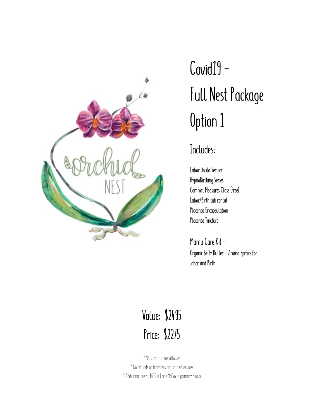

# **Covid19 - Full Nest Package Option 1**

#### **Includes:**

**Labor Doula Service HypnoBirthing Series Comfort Measures Class (free) Labor/Birth tub rental Placenta Encapsulation Placenta Tincture** 

**Mama Care Kit - Organic Belly Butter + Aroma Sprays for Labor and Birth** 

### **Value: \$2495 Price: \$2275**

\*No substitutions allowed \*No refunds or transfers for unused services \*Additional fee of \$600 if Lorie McCoy is primary doula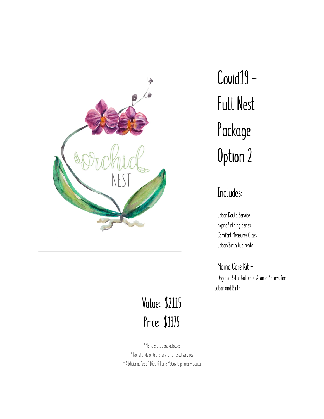

## **Value: \$2115 Price: \$1975**

\*No substitutions allowed \*No refunds or transfers for unused services \*Additional fee of \$600 if Lorie McCoy is primary doula **Covid19 - Full Nest Package Option 2** 

### **Includes:**

**Labor Doula Service HypnoBirthing Series Comfort Measures Class Labor/Birth tub rental** 

**Mama Care Kit - Organic Belly Butter + Aroma Sprays for Labor and Birth**